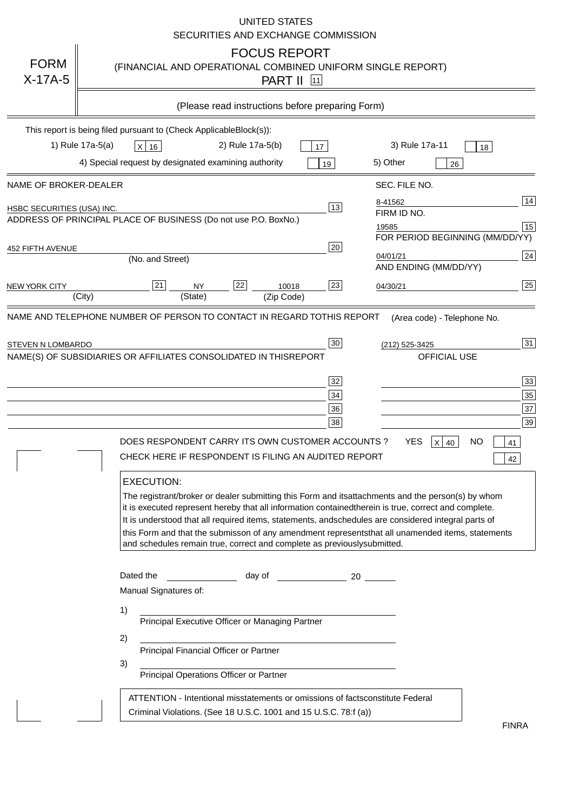|                            | <b>UNITED STATES</b><br>SECURITIES AND EXCHANGE COMMISSION                                                                                                                                                                                                                                                                                                                                                                                                                                                                                                                                                                                                                                                                                                                                                                                                                                 |
|----------------------------|--------------------------------------------------------------------------------------------------------------------------------------------------------------------------------------------------------------------------------------------------------------------------------------------------------------------------------------------------------------------------------------------------------------------------------------------------------------------------------------------------------------------------------------------------------------------------------------------------------------------------------------------------------------------------------------------------------------------------------------------------------------------------------------------------------------------------------------------------------------------------------------------|
| <b>FORM</b><br>$X-17A-5$   | <b>FOCUS REPORT</b><br>(FINANCIAL AND OPERATIONAL COMBINED UNIFORM SINGLE REPORT)<br><b>PART II</b> [11]                                                                                                                                                                                                                                                                                                                                                                                                                                                                                                                                                                                                                                                                                                                                                                                   |
|                            | (Please read instructions before preparing Form)                                                                                                                                                                                                                                                                                                                                                                                                                                                                                                                                                                                                                                                                                                                                                                                                                                           |
|                            | This report is being filed pursuant to (Check Applicable<br>$Block(s)$ :<br>1) Rule 17a-5(a)<br>3) Rule 17a-11<br>2) Rule 17a-5(b)<br>$X$ 16<br>17<br>18<br>4) Special request by designated examining authority<br>5) Other<br>19<br>26                                                                                                                                                                                                                                                                                                                                                                                                                                                                                                                                                                                                                                                   |
| NAME OF BROKER-DEALER      | SEC. FILE NO.                                                                                                                                                                                                                                                                                                                                                                                                                                                                                                                                                                                                                                                                                                                                                                                                                                                                              |
| HSBC SECURITIES (USA) INC. | 14<br>8-41562<br>13<br>FIRM ID NO.<br>ADDRESS OF PRINCIPAL PLACE OF BUSINESS (Do not use P.O. Box<br>No.)<br>15<br>19585<br>FOR PERIOD BEGINNING (MM/DD/YY)                                                                                                                                                                                                                                                                                                                                                                                                                                                                                                                                                                                                                                                                                                                                |
| <b>452 FIFTH AVENUE</b>    | 20<br> 24 <br>04/01/21<br>(No. and Street)<br>AND ENDING (MM/DD/YY)                                                                                                                                                                                                                                                                                                                                                                                                                                                                                                                                                                                                                                                                                                                                                                                                                        |
| <b>NEW YORK CITY</b>       | 25<br>22<br>21<br>23<br><b>NY</b><br>10018<br>04/30/21<br>(City)<br>(State)<br>(Zip Code)                                                                                                                                                                                                                                                                                                                                                                                                                                                                                                                                                                                                                                                                                                                                                                                                  |
| STEVEN N LOMBARDO          | 31<br>30<br>(212) 525-3425<br>NAME(S) OF SUBSIDIARIES OR AFFILIATES CONSOLIDATED IN THIS<br><b>REPORT</b><br><b>OFFICIAL USE</b><br>$\overline{33}$<br>32<br>35<br>$34$<br>37<br>36<br>39<br>38<br>$X$ 40<br>DOES RESPONDENT CARRY ITS OWN CUSTOMER ACCOUNTS?<br>YES<br>NO<br>41<br>CHECK HERE IF RESPONDENT IS FILING AN AUDITED REPORT<br>42<br><b>EXECUTION:</b><br>The registrant/broker or dealer submitting this Form and its<br>attachments and the person(s) by whom<br>it is executed represent hereby that all information contained<br>therein is true, correct and complete.<br>It is understood that all required items, statements, and<br>schedules are considered integral parts of<br>this Form and that the submisson of any amendment represents<br>that all unamended items, statements<br>and schedules remain true, correct and complete as previously<br>submitted. |
|                            | Dated the<br>day of<br>20<br>Manual Signatures of:<br>1)<br>Principal Executive Officer or Managing Partner<br>2)<br>Principal Financial Officer or Partner<br>3)<br>Principal Operations Officer or Partner<br>constitute Federal<br>ATTENTION - Intentional misstatements or omissions of facts                                                                                                                                                                                                                                                                                                                                                                                                                                                                                                                                                                                          |
|                            | Criminal Violations. (See 18 U.S.C. 1001 and 15 U.S.C. 78:f (a)<br>$\lambda$<br><b>FINRA</b>                                                                                                                                                                                                                                                                                                                                                                                                                                                                                                                                                                                                                                                                                                                                                                                               |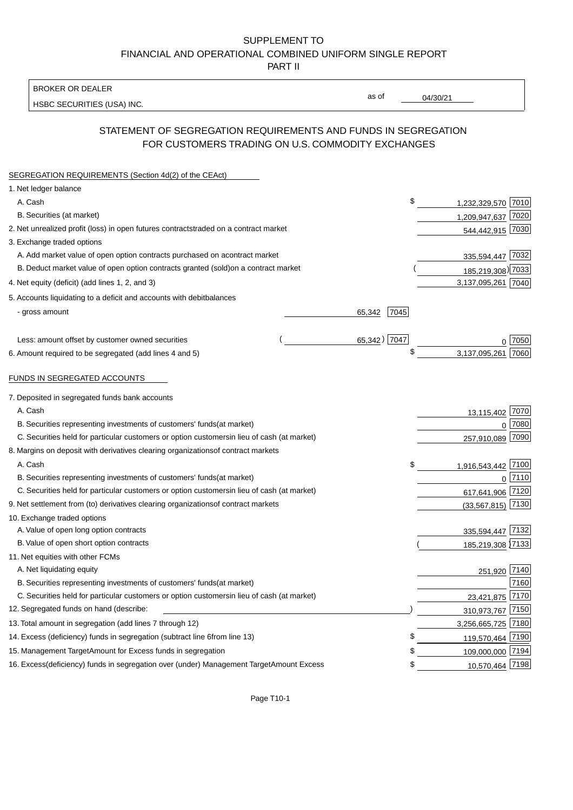BROKER OR DEALER

HSBC SECURITIES (USA) INC.

04/30/21

as of

## STATEMENT OF SEGREGATION REQUIREMENTS AND FUNDS IN SEGREGATION FOR CUSTOMERS TRADING ON U.S. COMMODITY EXCHANGES

| SEGREGATION REQUIREMENTS (Section 4d(2) of the CEAct)                                          |                          |      |
|------------------------------------------------------------------------------------------------|--------------------------|------|
| 1. Net ledger balance                                                                          |                          |      |
| A. Cash                                                                                        | \$<br>1,232,329,570 7010 |      |
| B. Securities (at market)                                                                      | 1,209,947,637 7020       |      |
| 2. Net unrealized profit (loss) in open futures contracts<br>traded on a contract market       | 544,442,915 7030         |      |
| 3. Exchange traded options                                                                     |                          |      |
| A. Add market value of open option contracts purchased on a<br>contract market                 | 335,594,447 7032         |      |
| B. Deduct market value of open option contracts granted (sold)<br>on a contract market         | 185,219,308) 7033        |      |
| 4. Net equity (deficit) (add lines 1, 2, and 3)                                                | 3,137,095,261 7040       |      |
| 5. Accounts liquidating to a deficit and accounts with debit<br>balances                       |                          |      |
| - gross amount                                                                                 | 7045<br>65,342           |      |
|                                                                                                |                          |      |
| Less: amount offset by customer owned securities                                               | 65,342) 7047             | 7050 |
| 6. Amount required to be segregated (add lines 4 and 5)                                        | \$<br>3,137,095,261      | 7060 |
|                                                                                                |                          |      |
| FUNDS IN SEGREGATED ACCOUNTS                                                                   |                          |      |
| 7. Deposited in segregated funds bank accounts                                                 |                          |      |
| A. Cash                                                                                        | 13,115,402               | 7070 |
| B. Securities representing investments of customers' funds<br>(at market)                      | $\Omega$                 | 7080 |
| C. Securities held for particular customers or option customers<br>in lieu of cash (at market) | 257,910,089              | 7090 |
| 8. Margins on deposit with derivatives clearing organizations<br>of contract markets           |                          |      |
| A. Cash                                                                                        | \$<br>1,916,543,442      | 7100 |
| B. Securities representing investments of customers' funds<br>(at market)                      | $\mathbf 0$              | 7110 |
| C. Securities held for particular customers or option customers<br>in lieu of cash (at market) | 617,641,906              | 7120 |
| 9. Net settlement from (to) derivatives clearing organizations<br>of contract markets          | (33, 567, 815)           | 7130 |
| 10. Exchange traded options                                                                    |                          |      |
| A. Value of open long option contracts                                                         | 335,594,447 7132         |      |
| B. Value of open short option contracts                                                        | 185,219,308 7133         |      |
| 11. Net equities with other FCMs                                                               |                          |      |
| A. Net liquidating equity                                                                      | 251,920 7140             |      |
| B. Securities representing investments of customers' funds<br>(at market)                      |                          | 7160 |
| C. Securities held for particular customers or option customers<br>in lieu of cash (at market) | 23,421,875               | 7170 |
| 12. Segregated funds on hand (describe:                                                        | 310,973,767 7150         |      |
| 13. Total amount in segregation (add lines 7 through 12)                                       | 3,256,665,725 7180       |      |
| 14. Excess (deficiency) funds in segregation (subtract line 6<br>from line 13)                 | 119,570,464 7190         |      |
| 15. Management Target Amount for Excess funds in segregation                                   | 109,000,000 7194<br>\$   |      |
| 16. Excess (deficiency) funds in segregation over (under) Management Target Amount Excess      | \$<br>10,570,464 7198    |      |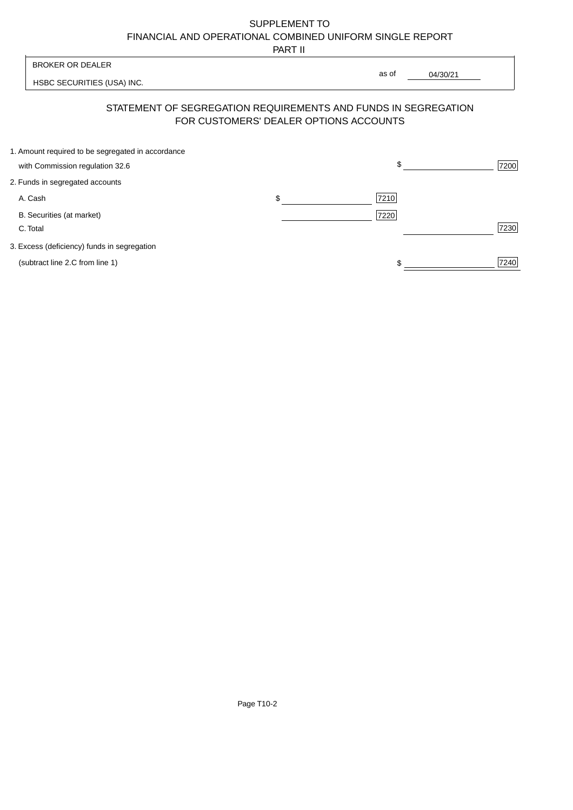PART II

|                                                   | .                                      |                                                                |      |
|---------------------------------------------------|----------------------------------------|----------------------------------------------------------------|------|
| <b>BROKER OR DEALER</b>                           |                                        | as of                                                          |      |
| HSBC SECURITIES (USA) INC.                        |                                        | 04/30/21                                                       |      |
|                                                   | FOR CUSTOMERS' DEALER OPTIONS ACCOUNTS | STATEMENT OF SEGREGATION REQUIREMENTS AND FUNDS IN SEGREGATION |      |
| 1. Amount required to be segregated in accordance |                                        |                                                                |      |
| with Commission regulation 32.6                   |                                        | \$                                                             | 7200 |
| 2. Funds in segregated accounts                   |                                        |                                                                |      |
| A. Cash                                           | \$                                     | 7210                                                           |      |
| B. Securities (at market)                         |                                        | 7220                                                           |      |
| C. Total                                          |                                        |                                                                | 7230 |
| 3. Excess (deficiency) funds in segregation       |                                        |                                                                |      |
| (subtract line 2.C from line 1)                   |                                        |                                                                | 7240 |
|                                                   |                                        |                                                                |      |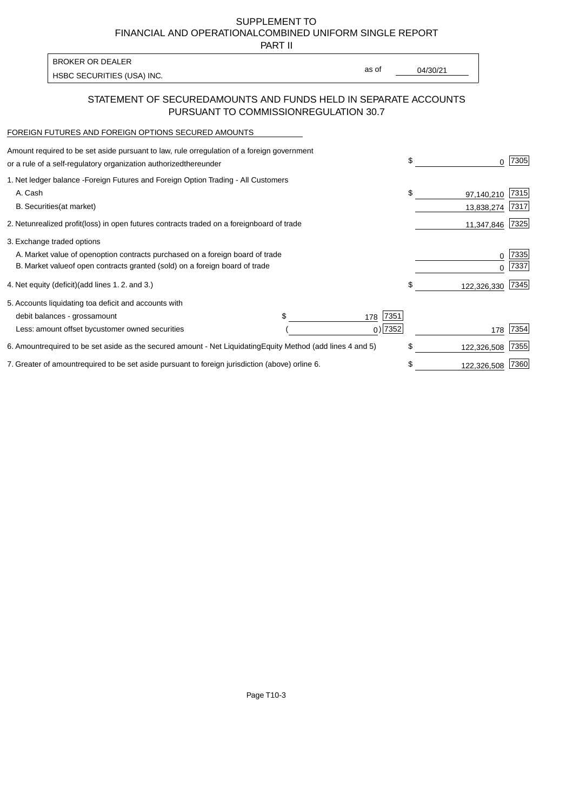PART II

| <b>BROKER OR DEALER</b>    |       |          |
|----------------------------|-------|----------|
| HSBC SECURITIES (USA) INC. | as of | 04/30/21 |

### STATEMENT OF SECURED AMOUNTS AND FUNDS HELD IN SEPARATE ACCOUNTS PURSUANT TO COMMISSION REGULATION 30.7

#### FOREIGN FUTURES AND FOREIGN OPTIONS SECURED AMOUNTS

| Amount required to be set aside pursuant to law, rule or<br>regulation of a foreign government<br>or a rule of a self-regulatory organization authorized<br>thereunder                       |                                   | \$<br>U                        | 7305         |
|----------------------------------------------------------------------------------------------------------------------------------------------------------------------------------------------|-----------------------------------|--------------------------------|--------------|
| 1. Net ledger balance - Foreign Futures and Foreign Option Trading - All Customers<br>A. Cash<br><b>B.</b> Securities<br>(at market)                                                         |                                   | \$<br>97,140,210<br>13,838,274 | 7315<br>7317 |
| unrealized profit (loss) in open futures contracts traded on a foreign board of trade<br>2. Net                                                                                              |                                   | 11,347,846                     | 7325         |
| 3. Exchange traded options<br>A. Market value of open option contracts purchased on a foreign board of trade<br>B. Market value of open contracts granted (sold) on a foreign board of trade |                                   |                                | 7335<br>7337 |
| 4. Net equity (deficit)<br>(add lines $1.2$ and $3.$ )                                                                                                                                       |                                   | \$<br>122,326,330              | 7345         |
| 5. Accounts liquidating to a deficit and accounts with<br>\$<br>debit balances - gross<br>amount<br>Less: amount offset by customer owned securities                                         | 7351<br>178<br>$0)$ 7352          | 178                            | 7354         |
| 6. Amount required to be set aside as the secured amount - Net Liquidating                                                                                                                   | Equity Method (add lines 4 and 5) | \$<br>122,326,508              | 7355         |
| 7. Greater of amount required to be set aside pursuant to foreign jurisdiction (above) or                                                                                                    | line 6.                           | 122,326,508                    | 7360         |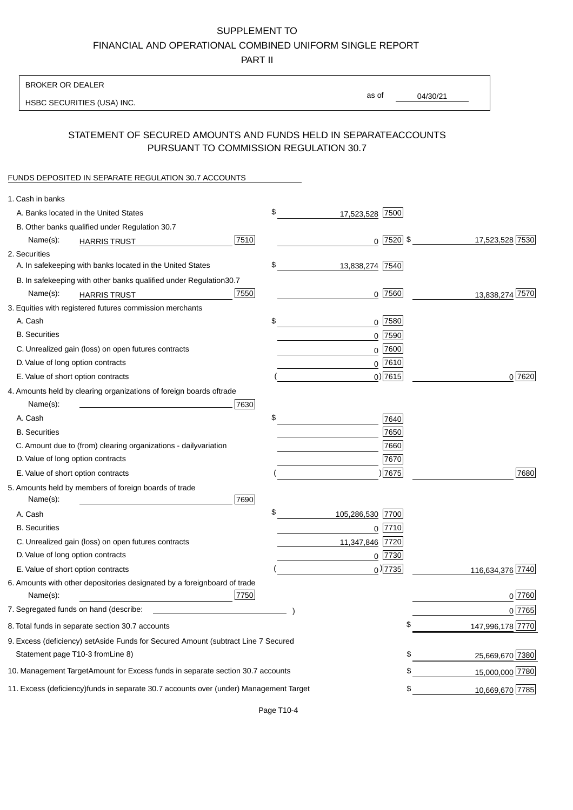PART II

| <b>BROKER OR DEALER</b>                                                                          |                        |             |                 |                  |
|--------------------------------------------------------------------------------------------------|------------------------|-------------|-----------------|------------------|
| HSBC SECURITIES (USA) INC.                                                                       | as of                  |             | 04/30/21        |                  |
| STATEMENT OF SECURED AMOUNTS AND FUNDS HELD IN SEPARATE                                          |                        |             | <b>ACCOUNTS</b> |                  |
| PURSUANT TO COMMISSION REGULATION 30.7                                                           |                        |             |                 |                  |
| FUNDS DEPOSITED IN SEPARATE REGULATION 30.7 ACCOUNTS                                             |                        |             |                 |                  |
| 1. Cash in banks                                                                                 |                        |             |                 |                  |
| A. Banks located in the United States                                                            | \$<br>17,523,528 7500  |             |                 |                  |
| B. Other banks qualified under Regulation 30.7                                                   |                        |             |                 |                  |
| 7510<br>Name(s):<br><b>HARRIS TRUST</b>                                                          |                        | $0$ 7520 \$ |                 | 17,523,528 7530  |
| 2. Securities                                                                                    |                        |             |                 |                  |
| A. In safekeeping with banks located in the United States                                        | \$<br>13,838,274 7540  |             |                 |                  |
| B. In safekeeping with other banks qualified under Regulation<br>30.7                            |                        |             |                 |                  |
| 7550<br>Name(s):<br><b>HARRIS TRUST</b>                                                          |                        | 0 7560      |                 | 13,838,274 7570  |
| 3. Equities with registered futures commission merchants                                         |                        |             |                 |                  |
| A. Cash                                                                                          | \$                     | $0$ 7580    |                 |                  |
| <b>B.</b> Securities                                                                             |                        | $0$ 7590    |                 |                  |
| C. Unrealized gain (loss) on open futures contracts                                              |                        | $0$ 7600    |                 |                  |
| D. Value of long option contracts                                                                |                        | $0$ 7610    |                 |                  |
| E. Value of short option contracts                                                               |                        | $0)$ 7615   |                 | 0 7620           |
| 4. Amounts held by clearing organizations of foreign boards of<br>trade                          |                        |             |                 |                  |
| Name(s):<br>7630                                                                                 |                        |             |                 |                  |
| A. Cash                                                                                          | \$                     | 7640        |                 |                  |
| <b>B.</b> Securities                                                                             |                        | 7650        |                 |                  |
| C. Amount due to (from) clearing organizations - daily<br>variation                              |                        | 7660        |                 |                  |
| D. Value of long option contracts                                                                |                        | 7670        |                 |                  |
| E. Value of short option contracts                                                               |                        | ) 7675      |                 | 7680             |
| 5. Amounts held by members of foreign boards of trade<br>Name(s):<br>7690                        |                        |             |                 |                  |
| A. Cash                                                                                          | \$<br>105,286,530 7700 |             |                 |                  |
| <b>B.</b> Securities                                                                             |                        | 0 7710      |                 |                  |
| C. Unrealized gain (loss) on open futures contracts                                              | 11,347,846 7720        |             |                 |                  |
| D. Value of long option contracts                                                                |                        | 0 7730      |                 |                  |
| E. Value of short option contracts                                                               |                        | $0$ ) 7735  |                 | 116,634,376 7740 |
| 6. Amounts with other depositories designated by a foreign<br>board of trade<br>7750<br>Name(s): |                        |             |                 | 0 7760           |
| 7. Segregated funds on hand (describe:                                                           |                        |             |                 | $0$ 7765         |
| 8. Total funds in separate section 30.7 accounts                                                 |                        | \$          |                 | 147,996,178 7770 |
| 9. Excess (deficiency) set Aside Funds for Secured Amount (subtract Line 7 Secured               |                        |             |                 |                  |
| Statement page T10-3 from Line 8)                                                                |                        | \$          |                 | 25,669,670 7380  |
| 10. Management Target Amount for Excess funds in separate section 30.7 accounts                  |                        | \$          |                 | 15,000,000 7780  |
| 11. Excess (deficiency) funds in separate 30.7 accounts over (under) Management Target           |                        | \$          |                 | 10,669,670 7785  |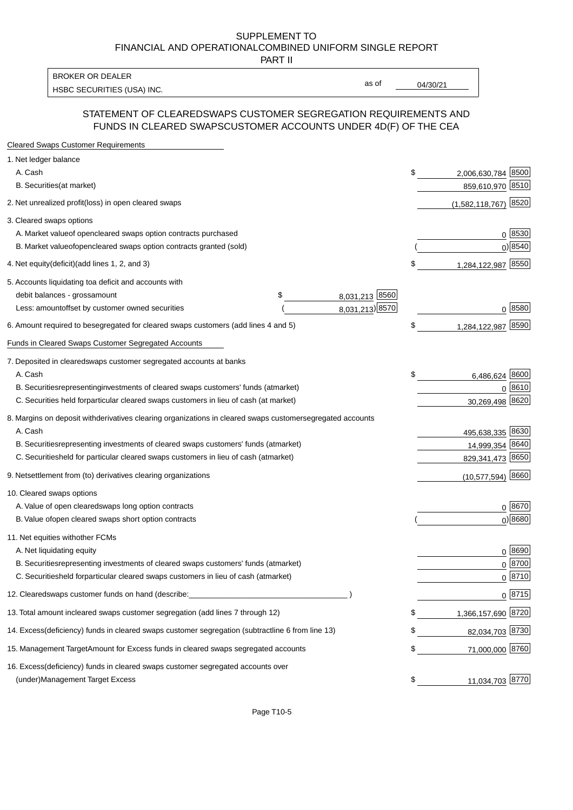PART II

HSBC SECURITIES (USA) INC. The contract of the contract of the contract of the contract of the contract of the contract of the contract of the contract of the contract of the contract of the contract of the contract of the BROKER OR DEALER

as of

#### STATEMENT OF CLEARED SWAPS CUSTOMER SEGREGATION REQUIREMENTS AND FUNDS IN CLEARED SWAPS CUSTOMER ACCOUNTS UNDER 4D(F) OF THE CEA

| <b>Cleared Swaps Customer Requirements</b>                                                                  |    |                         |
|-------------------------------------------------------------------------------------------------------------|----|-------------------------|
| 1. Net ledger balance                                                                                       |    |                         |
| A. Cash                                                                                                     | \$ | 8500<br>2,006,630,784   |
| B. Securities (at market)                                                                                   |    | 859,610,970 8510        |
| 2. Net unrealized profit (loss) in open cleared swaps                                                       |    | 8520<br>(1,582,118,767) |
| 3. Cleared swaps options                                                                                    |    |                         |
| A. Market value of open cleared swaps option contracts purchased                                            |    | 0   8530                |
| B. Market value of open cleared swaps option contracts granted (sold)                                       |    | $0)$ 8540               |
| 4. Net equity (deficit) (add lines 1, 2, and 3)                                                             | \$ | 1,284,122,987 8550      |
| 5. Accounts liquidating to a deficit and accounts with                                                      |    |                         |
| 8,031,213 8560<br>debit balances - gross<br>\$<br>amount                                                    |    |                         |
| 8,031,213) 8570<br>Less: amount offset by customer owned securities                                         |    | 0 8580                  |
| 6. Amount required to be segregated for cleared swaps customers (add lines 4 and 5)                         | S  | 8590<br>1,284,122,987   |
| Funds in Cleared Swaps Customer Segregated Accounts                                                         |    |                         |
| 7. Deposited in cleared swaps customer segregated accounts at banks                                         |    |                         |
| A. Cash                                                                                                     | \$ | 8600<br>6,486,624       |
| B. Securities representing investments of cleared swaps customers' funds (at market)                        |    | $0^{8610}$              |
| C. Securities held for particular cleared swaps customers in lieu of cash (at market)                       |    | 30,269,498 8620         |
| 8. Margins on deposit with derivatives clearing organizations in cleared swaps customer segregated accounts |    |                         |
| A. Cash                                                                                                     |    | 495,638,335 8630        |
| representing investments of cleared swaps customers' funds (at market)<br><b>B.</b> Securities              |    | 14,999,354 8640         |
| C. Securities held for particular cleared swaps customers in lieu of cash (at market)                       |    | 829,341,473 8650        |
| 9. Net settlement from (to) derivatives clearing organizations                                              |    | $(10,577,594)$ 8660     |
| 10. Cleared swaps options                                                                                   |    |                         |
| A. Value of open cleared swaps long option contracts                                                        |    | $0^{8670}$              |
| B. Value of open cleared swaps short option contracts                                                       |    | $0$ ) 8680              |
| 11. Net equities with other FCMs                                                                            |    |                         |
| A. Net liquidating equity                                                                                   |    | $0^{8690}$              |
| B. Securities representing investments of cleared swaps customers' funds (at market)                        |    | $0^{8700}$              |
| C. Securities held for particular cleared swaps customers in lieu of cash (at market)                       |    | 0 8710                  |
| 12. Cleared swaps customer funds on hand (describe:                                                         |    | $0 \;  8715 $           |
| 13. Total amount in cleared swaps customer segregation (add lines 7 through 12)                             | S  | 1,366,157,690 8720      |
| 14. Excess (deficiency) funds in cleared swaps customer segregation (subtract line 6 from line 13)          |    | 82,034,703 8730         |
| 15. Management Target Amount for Excess funds in cleared swaps segregated accounts                          | \$ | 71,000,000 8760         |
| 16. Excess<br>(deficiency) funds in cleared swaps customer segregated accounts over                         |    |                         |
| <b>Management Target Excess</b><br>(under)                                                                  | \$ | 11,034,703 8770         |